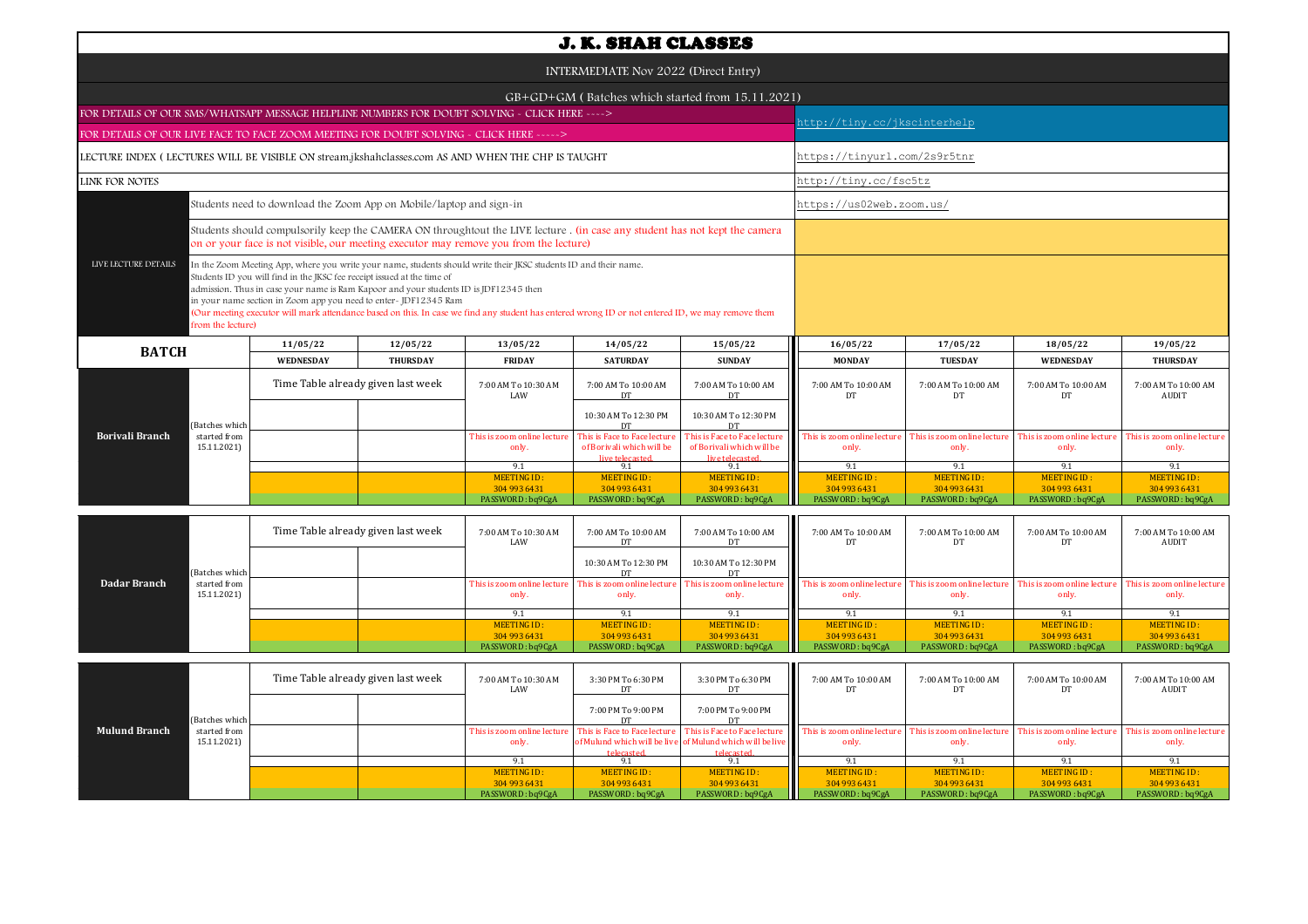| <b>J. K. SHAH CLASSES</b>                                                                         |                                                                                                                                                                                                                                                                                                                                                                                                                                                                                                             |                                    |                                                                                                                                                                                                                     |                                                                              |                                                                              |                                                        |                                                        |                                                        |                                                 |  |  |
|---------------------------------------------------------------------------------------------------|-------------------------------------------------------------------------------------------------------------------------------------------------------------------------------------------------------------------------------------------------------------------------------------------------------------------------------------------------------------------------------------------------------------------------------------------------------------------------------------------------------------|------------------------------------|---------------------------------------------------------------------------------------------------------------------------------------------------------------------------------------------------------------------|------------------------------------------------------------------------------|------------------------------------------------------------------------------|--------------------------------------------------------|--------------------------------------------------------|--------------------------------------------------------|-------------------------------------------------|--|--|
| INTERMEDIATE Nov 2022 (Direct Entry)                                                              |                                                                                                                                                                                                                                                                                                                                                                                                                                                                                                             |                                    |                                                                                                                                                                                                                     |                                                                              |                                                                              |                                                        |                                                        |                                                        |                                                 |  |  |
| GB+GD+GM (Batches which started from 15.11.2021)                                                  |                                                                                                                                                                                                                                                                                                                                                                                                                                                                                                             |                                    |                                                                                                                                                                                                                     |                                                                              |                                                                              |                                                        |                                                        |                                                        |                                                 |  |  |
| FOR DETAILS OF OUR SMS/WHATSAPP MESSAGE HELPLINE NUMBERS FOR DOUBT SOLVING - CLICK HERE ---->     |                                                                                                                                                                                                                                                                                                                                                                                                                                                                                                             |                                    |                                                                                                                                                                                                                     |                                                                              |                                                                              |                                                        | nttp://tiny.cc/jkscinterhelp                           |                                                        |                                                 |  |  |
| FOR DETAILS OF OUR LIVE FACE TO FACE ZOOM MEETING FOR DOUBT SOLVING - CLICK HERE ----->           |                                                                                                                                                                                                                                                                                                                                                                                                                                                                                                             |                                    |                                                                                                                                                                                                                     |                                                                              |                                                                              |                                                        |                                                        |                                                        |                                                 |  |  |
| LECTURE INDEX (LECTURES WILL BE VISIBLE ON stream.jkshahclasses.com AS AND WHEN THE CHP IS TAUGHT |                                                                                                                                                                                                                                                                                                                                                                                                                                                                                                             |                                    |                                                                                                                                                                                                                     |                                                                              |                                                                              |                                                        | https://tinyurl.com/2s9r5tnr                           |                                                        |                                                 |  |  |
| LINK FOR NOTES                                                                                    |                                                                                                                                                                                                                                                                                                                                                                                                                                                                                                             |                                    |                                                                                                                                                                                                                     |                                                                              |                                                                              |                                                        | http://tiny.cc/fsc5tz                                  |                                                        |                                                 |  |  |
| Students need to download the Zoom App on Mobile/laptop and sign-in                               |                                                                                                                                                                                                                                                                                                                                                                                                                                                                                                             |                                    |                                                                                                                                                                                                                     |                                                                              |                                                                              |                                                        | https://us02web.zoom.us/                               |                                                        |                                                 |  |  |
|                                                                                                   |                                                                                                                                                                                                                                                                                                                                                                                                                                                                                                             |                                    | Students should compulsorily keep the CAMERA ON throughtout the LIVE lecture. (in case any student has not kept the camera<br>on or your face is not visible, our meeting executor may remove you from the lecture) |                                                                              |                                                                              |                                                        |                                                        |                                                        |                                                 |  |  |
| LIVE LECTURE DETAILS<br>from the lecture)                                                         | In the Zoom Meeting App, where you write your name, students should write their JKSC students ID and their name.<br>Students ID you will find in the JKSC fee receipt issued at the time of<br>admission. Thus in case your name is Ram Kapoor and your students ID is JDF12345 then<br>in your name section in Zoom app you need to enter-JDF12345 Ram<br>(Our meeting executor will mark attendance based on this. In case we find any student has entered wrong ID or not entered ID, we may remove them |                                    |                                                                                                                                                                                                                     |                                                                              |                                                                              |                                                        |                                                        |                                                        |                                                 |  |  |
| <b>BATCH</b>                                                                                      | 11/05/22                                                                                                                                                                                                                                                                                                                                                                                                                                                                                                    | 12/05/22                           | 13/05/22                                                                                                                                                                                                            | 14/05/22                                                                     | 15/05/22                                                                     | 16/05/22                                               | 17/05/22                                               | 18/05/22                                               | 19/05/22                                        |  |  |
|                                                                                                   | <b>WEDNESDAY</b>                                                                                                                                                                                                                                                                                                                                                                                                                                                                                            | <b>THURSDAY</b>                    | <b>FRIDAY</b>                                                                                                                                                                                                       | <b>SATURDAY</b>                                                              | <b>SUNDAY</b>                                                                | <b>MONDAY</b>                                          | <b>TUESDAY</b>                                         | <b>WEDNESDAY</b>                                       | <b>THURSDAY</b>                                 |  |  |
|                                                                                                   |                                                                                                                                                                                                                                                                                                                                                                                                                                                                                                             | Time Table already given last week | 7:00 AM To 10:30 AM<br>LAW                                                                                                                                                                                          | 7:00 AM To 10:00 AM<br>DT                                                    | 7:00 AM To 10:00 AM<br>DT                                                    | 7:00 AM To 10:00 AM<br>DT                              | 7:00 AM To 10:00 AM<br>DT                              | 7:00 AM To 10:00 AM<br>DT                              | 7:00 AM To 10:00 AM<br>AUDIT                    |  |  |
| (Batches which                                                                                    |                                                                                                                                                                                                                                                                                                                                                                                                                                                                                                             |                                    |                                                                                                                                                                                                                     | 10:30 AM To 12:30 PM<br>DT                                                   | 10:30 AM To 12:30 PM<br>DT                                                   |                                                        |                                                        |                                                        |                                                 |  |  |
| <b>Borivali Branch</b><br>started from<br>15.11.2021)                                             |                                                                                                                                                                                                                                                                                                                                                                                                                                                                                                             |                                    | This is zoom online lecture<br>only.                                                                                                                                                                                | This is Face to Face lecture<br>of Borivali which will be<br>live telecasted | This is Face to Face lecture<br>of Borivali which will be<br>live telecasted | This is zoom online lectur<br>only.                    | This is zoom online lectur<br>only.                    | This is zoom online lectur<br>only.                    | This is zoom online lecture<br>only.            |  |  |
|                                                                                                   |                                                                                                                                                                                                                                                                                                                                                                                                                                                                                                             |                                    | 9.1                                                                                                                                                                                                                 | 9.1                                                                          | 9.1                                                                          | 9.1                                                    | 9.1                                                    | 9.1                                                    | 9.1                                             |  |  |
|                                                                                                   |                                                                                                                                                                                                                                                                                                                                                                                                                                                                                                             |                                    | <b>MEETING ID:</b><br>304 993 6431<br>PASSWORD: ba9CgA                                                                                                                                                              | <b>MEETING ID:</b><br>304 993 6431<br>PASSWORD: ba9CgA                       | MEETING ID:<br>304 993 6431<br>PASSWORD: ba9CgA                              | <b>MEETING ID:</b><br>304 993 6431<br>PASSWORD: ba9CgA | <b>MEETING ID:</b><br>304 993 6431<br>PASSWORD: ba9CgA | <b>MEETING ID:</b><br>304 993 6431<br>PASSWORD: ba9CgA | MEETING ID:<br>304 993 6431<br>PASSWORD: ba9Cg/ |  |  |
|                                                                                                   |                                                                                                                                                                                                                                                                                                                                                                                                                                                                                                             |                                    |                                                                                                                                                                                                                     |                                                                              |                                                                              |                                                        |                                                        |                                                        |                                                 |  |  |

|              |                | Time Table already given last week |  | 7:00 AM To 10:30 AM<br>LAW  | 7:00 AM To 10:00 AM<br>DT                               | 7:00 AM To 10:00 AM<br>DT | 7:00 AM To 10:00 AM<br>DT                               | 7:00 AM To 10:00 AM<br>DТ | 7:00 AM To 10:00 AM<br>DT                               | 7:00 AM To 10:00 AM<br>AUDIT |
|--------------|----------------|------------------------------------|--|-----------------------------|---------------------------------------------------------|---------------------------|---------------------------------------------------------|---------------------------|---------------------------------------------------------|------------------------------|
|              | (Batches which |                                    |  |                             | 10:30 AM To 12:30 PM                                    | 10:30 AM To 12:30 PM      |                                                         |                           |                                                         |                              |
| Dadar Branch | started from   |                                    |  | This is zoom online lecture | This is zoom online lecture This is zoom online lecture |                           | This is zoom online lecture This is zoom online lecture |                           | This is zoom online lecture This is zoom online lecture |                              |
|              | 15.11.2021)    |                                    |  | only.                       | only.                                                   | only.                     | only.                                                   | only.                     | only.                                                   | only.                        |
|              |                |                                    |  | 9.1                         | -91                                                     |                           |                                                         |                           | Q <sub>1</sub>                                          |                              |
|              |                |                                    |  | MEETING ID:                 | MEETING ID:                                             | MEETING ID:               | MEETING ID:                                             | MEETING ID:               | MEETING ID:                                             | MEETING ID:                  |
|              |                |                                    |  | 304 993 6431                | 304 993 6431                                            | 304 993 6431              | 304 993 6431                                            | 304 993 6431              | 304 993 6431                                            | 304 993 6431                 |
|              |                |                                    |  | PASSWORD: bq9CgA            | PASSWORD: bq9CgA                                        | PASSWORD: bq9CgA          | PASSWORD: bq9CgA                                        | PASSWORD: bq9CgA          | PASSWORD: bq9CgA                                        | PASSWORD: bq9CgA             |

|                      |                | Time Table already given last week |  | 7:00 AM To 10:30 AM<br>LAW | 3:30 PM To 6:30 PM                                                                        | 3:30 PM To 6:30 PM                                        | 7:00 AM To 10:00 AM                                     | 7:00 AM To 10:00 AM | 7:00 AM To 10:00 AM         | 7:00 AM To 10:00 AM<br>AUDIT |
|----------------------|----------------|------------------------------------|--|----------------------------|-------------------------------------------------------------------------------------------|-----------------------------------------------------------|---------------------------------------------------------|---------------------|-----------------------------|------------------------------|
|                      | (Batches which |                                    |  |                            | 7:00 PM To 9:00 PM                                                                        | 7:00 PM To 9:00 PM                                        |                                                         |                     |                             |                              |
| <b>Mulund Branch</b> | started from   |                                    |  |                            | This is zoom online lecture   This is Face to Face lecture   This is Face to Face lecture |                                                           | This is zoom online lecture This is zoom online lecture |                     | This is zoom online lecture | his is zoom online lecture   |
|                      | 15.11.2021)    |                                    |  | only.                      |                                                                                           | of Mulund which will be live of Mulund which will be live | only.                                                   | only.               | only.                       | only.                        |
|                      |                |                                    |  |                            | telecasted                                                                                | telecasted                                                |                                                         |                     |                             |                              |
|                      |                |                                    |  |                            |                                                                                           |                                                           |                                                         |                     |                             |                              |
|                      |                |                                    |  | MEETING ID:                | MEETING ID:                                                                               | MEETING ID:                                               | <b>MEETING ID:</b>                                      | MEETING ID:         | MEETING ID:                 | MEETING ID:                  |
|                      |                |                                    |  | 304 993 6431               | 304 993 6431                                                                              | 304 993 6431                                              | 304 993 6431                                            | 304 993 6431        | 304 993 6431                | 304 993 6431                 |
|                      |                |                                    |  | PASSWORD: bq9CgA           | PASSWORD: bq9CgA                                                                          | PASSWORD: bq9CgA                                          | PASSWORD: bq9CgA                                        | PASSWORD: bq9CgA    | PASSWORD: bq9CgA            | PASSWORD: bq9CgA             |